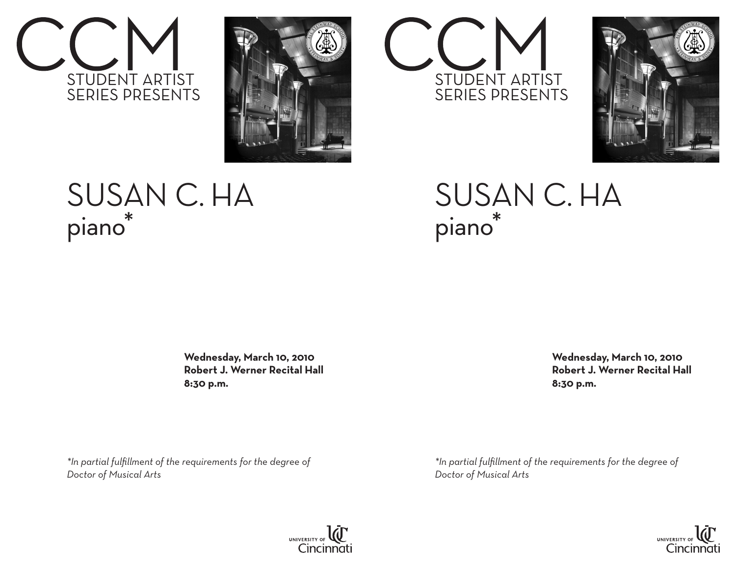



## Susan C. Ha piano\*

 **Wednesday, March 10, 2010 Robert J. Werner Recital Hall 8:30 p.m.**

*\*In partial fulfillment of the requirements for the degree of Doctor of Musical Arts*